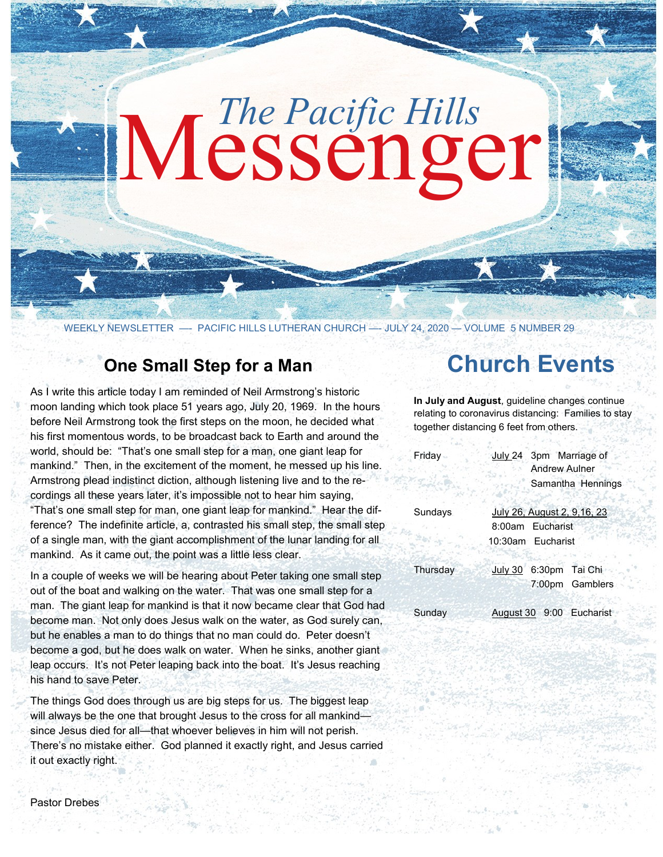# Messenger *The Pacific Hills*

WEEKLY NEWSLETTER - PACIFIC HILLS LUTHERAN CHURCH - JULY 24, 2020 - VOLUME 5 NUMBER 29

## **One Small Step for a Man**

As I write this article today I am reminded of Neil Armstrong's historic moon landing which took place 51 years ago, July 20, 1969. In the hours before Neil Armstrong took the first steps on the moon, he decided what his first momentous words, to be broadcast back to Earth and around the world, should be: "That's one small step for a man, one giant leap for mankind." Then, in the excitement of the moment, he messed up his line. Armstrong plead indistinct diction, although listening live and to the recordings all these years later, it's impossible not to hear him saying, "That's one small step for man, one giant leap for mankind." Hear the difference? The indefinite article, a, contrasted his small step, the small step of a single man, with the giant accomplishment of the lunar landing for all mankind. As it came out, the point was a little less clear.

In a couple of weeks we will be hearing about Peter taking one small step out of the boat and walking on the water. That was one small step for a man. The giant leap for mankind is that it now became clear that God had become man. Not only does Jesus walk on the water, as God surely can, but he enables a man to do things that no man could do. Peter doesn't become a god, but he does walk on water. When he sinks, another giant leap occurs. It's not Peter leaping back into the boat. It's Jesus reaching his hand to save Peter.

The things God does through us are big steps for us. The biggest leap will always be the one that brought Jesus to the cross for all mankind since Jesus died for all—that whoever believes in him will not perish. There's no mistake either. God planned it exactly right, and Jesus carried it out exactly right.

# **Church Events**

**In July and August**, guideline changes continue relating to coronavirus distancing: Families to stay together distancing 6 feet from others.

| Friday   | July 24 3pm Marriage of<br><b>Andrew Aulner</b> |
|----------|-------------------------------------------------|
|          | Samantha Hennings                               |
| Sundays  | July 26, August 2, 9,16, 23                     |
|          | 8:00am Eucharist                                |
|          | 10:30am Eucharist                               |
| Thursday | July 30 6:30pm Tai Chi                          |
|          | 7:00pm Gamblers                                 |
| Sunday   | August 30 9:00 Eucharist                        |